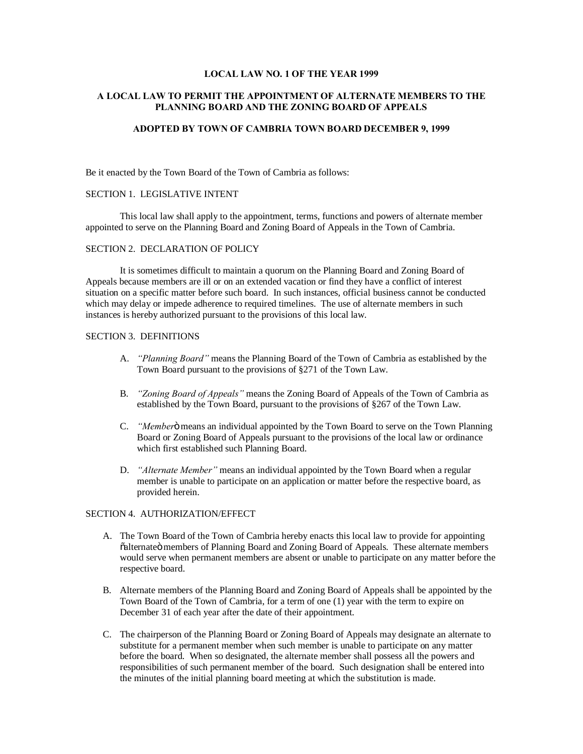## **LOCAL LAW NO. 1 OF THE YEAR 1999**

# **A LOCAL LAW TO PERMIT THE APPOINTMENT OF ALTERNATE MEMBERS TO THE PLANNING BOARD AND THE ZONING BOARD OF APPEALS**

# **ADOPTED BY TOWN OF CAMBRIA TOWN BOARD DECEMBER 9, 1999**

Be it enacted by the Town Board of the Town of Cambria as follows:

#### SECTION 1. LEGISLATIVE INTENT

This local law shall apply to the appointment, terms, functions and powers of alternate member appointed to serve on the Planning Board and Zoning Board of Appeals in the Town of Cambria.

## SECTION 2. DECLARATION OF POLICY

It is sometimes difficult to maintain a quorum on the Planning Board and Zoning Board of Appeals because members are ill or on an extended vacation or find they have a conflict of interest situation on a specific matter before such board. In such instances, official business cannot be conducted which may delay or impede adherence to required timelines. The use of alternate members in such instances is hereby authorized pursuant to the provisions of this local law.

### SECTION 3. DEFINITIONS

- A. *"Planning Board"* means the Planning Board of the Town of Cambria as established by the Town Board pursuant to the provisions of §271 of the Town Law.
- B. *"Zoning Board of Appeals"* means the Zoning Board of Appeals of the Town of Cambria as established by the Town Board, pursuant to the provisions of §267 of the Town Law.
- C. *"Member*" means an individual appointed by the Town Board to serve on the Town Planning Board or Zoning Board of Appeals pursuant to the provisions of the local law or ordinance which first established such Planning Board.
- D. *"Alternate Member"* means an individual appointed by the Town Board when a regular member is unable to participate on an application or matter before the respective board, as provided herein.

### SECTION 4. AUTHORIZATION/EFFECT

- A. The Town Board of the Town of Cambria hereby enacts this local law to provide for appointing  $\ddot{\text{o}}$ alternateö members of Planning Board and Zoning Board of Appeals. These alternate members would serve when permanent members are absent or unable to participate on any matter before the respective board.
- B. Alternate members of the Planning Board and Zoning Board of Appeals shall be appointed by the Town Board of the Town of Cambria, for a term of one (1) year with the term to expire on December 31 of each year after the date of their appointment.
- C. The chairperson of the Planning Board or Zoning Board of Appeals may designate an alternate to substitute for a permanent member when such member is unable to participate on any matter before the board. When so designated, the alternate member shall possess all the powers and responsibilities of such permanent member of the board. Such designation shall be entered into the minutes of the initial planning board meeting at which the substitution is made.